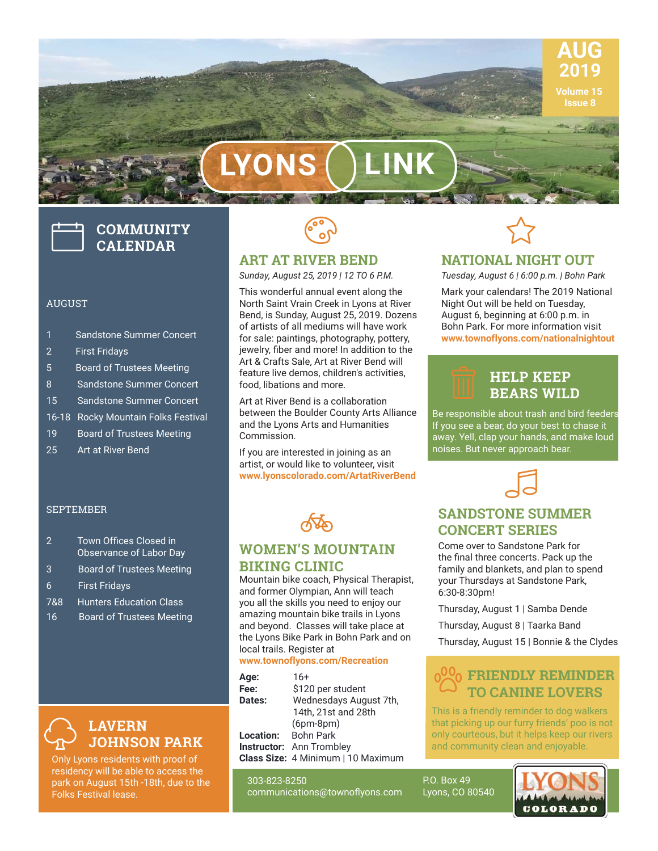

 **Issue 8**

**LYONS LINK**

# **COMMUNITY CALENDAR**

#### AUGUST

- 1 Sandstone Summer Concert
- 2 First Fridays
- 5 Board of Trustees Meeting
- 8 Sandstone Summer Concert
- 15 Sandstone Summer Concert
- 16-18 Rocky Mountain Folks Festival
- 19 Board of Trustees Meeting
- 25 Art at River Bend

#### SEPTEMBER

- 2 Town Offices Closed in Observance of Labor Day
- 3 Board of Trustees Meeting
- 6 First Fridays
- 7&8 Hunters Education Class
- 16 Board of Trustees Meeting



Only Lyons residents with proof of residency will be able to access the park on August 15th -18th, due to the Folks Festival lease.



## **ART AT RIVER BEND**

*Sunday, August 25, 2019 | 12 TO 6 P.M.*

This wonderful annual event along the North Saint Vrain Creek in Lyons at River Bend, is Sunday, August 25, 2019. Dozens of artists of all mediums will have work for sale: paintings, photography, pottery, jewelry, fiber and more! In addition to the Art & Crafts Sale, Art at River Bend will feature live demos, children's activities, food, libations and more.

Art at River Bend is a collaboration between the Boulder County Arts Alliance and the Lyons Arts and Humanities Commission.

If you are interested in joining as an artist, or would like to volunteer, visit **www.lyonscolorado.com/ArtatRiverBend**



## **WOMEN'S MOUNTAIN BIKING CLINIC**

Mountain bike coach, Physical Therapist, and former Olympian, Ann will teach you all the skills you need to enjoy our amazing mountain bike trails in Lyons and beyond. Classes will take place at the Lyons Bike Park in Bohn Park and on local trails. Register at

#### **www.townoflyons.com/Recreation**

| Age:                | $16+$                              |
|---------------------|------------------------------------|
| Fee:                | \$120 per student                  |
| Dates:              | Wednesdays August 7th,             |
|                     | 14th, 21st and 28th                |
|                     | $(6pm-8pm)$                        |
| Location: Bohn Park |                                    |
|                     | <b>Instructor:</b> Ann Trombley    |
|                     | Class Size: 4 Minimum   10 Maximum |

303-823-8250 communications@townoflyons.com



## **NATIONAL NIGHT OUT**

*Tuesday, August 6 | 6:00 p.m. | Bohn Park*

Mark your calendars! The 2019 National Night Out will be held on Tuesday, August 6, beginning at 6:00 p.m. in Bohn Park. For more information visit **www.townoflyons.com/nationalnightout** 

## **HELP KEEP BEARS WILD**

Be responsible about trash and bird feeders. If you see a bear, do your best to chase it away. Yell, clap your hands, and make loud noises. But never approach bear.



## **SANDSTONE SUMMER CONCERT SERIES**

Come over to Sandstone Park for the final three concerts. Pack up the family and blankets, and plan to spend your Thursdays at Sandstone Park, 6:30-8:30pm!

Thursday, August 1 | Samba Dende

Thursday, August 8 | Taarka Band

Thursday, August 15 | Bonnie & the Clydes

## **0<sup>00</sup><sub>0</sub> FRIENDLY REMINDER <sup>00</sup>0 FRIENDLY REMINDE**<br><sup>TO</sup> CANINE LOVERS

This is a friendly reminder to dog walkers that picking up our furry friends' poo is not only courteous, but it helps keep our rivers and community clean and enjoyable.

P.O. Box 49 Lyons, CO 80540